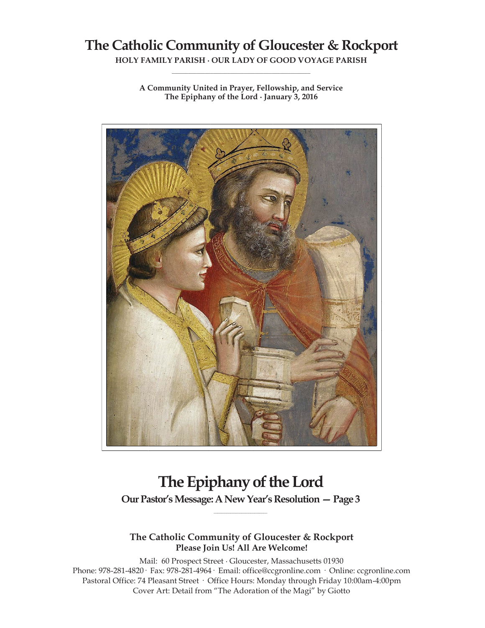# **The Catholic Community of Gloucester & Rockport**

**HOLY FAMILY PARISH ∙ OUR LADY OF GOOD VOYAGE PARISH \_\_\_\_\_\_\_\_\_\_\_\_\_\_\_\_\_\_\_\_\_\_\_\_\_\_\_\_\_\_\_\_\_\_\_\_\_\_\_\_\_\_\_\_\_\_\_\_\_\_**

**A Community United in Prayer, Fellowship, and Service The Epiphany of the Lord ∙ January 3, 2016**



# **The Epiphany of the Lord**

**Our Pastor's Message: A New Year's Resolution —Page 3 \_\_\_\_\_\_\_\_\_\_\_\_\_\_\_\_\_\_\_\_\_\_\_\_\_\_\_\_\_**

**The Catholic Community of Gloucester & Rockport Please Join Us! All Are Welcome!**

Mail: 60 Prospect Street ∙ Gloucester, Massachusetts 01930 Phone: 978-281-4820· Fax: 978-281-4964· Email: office@ccgronline.com · Online: ccgronline.com Pastoral Office: 74 Pleasant Street · Office Hours: Monday through Friday 10:00am-4:00pm Cover Art: Detail from "The Adoration of the Magi" by Giotto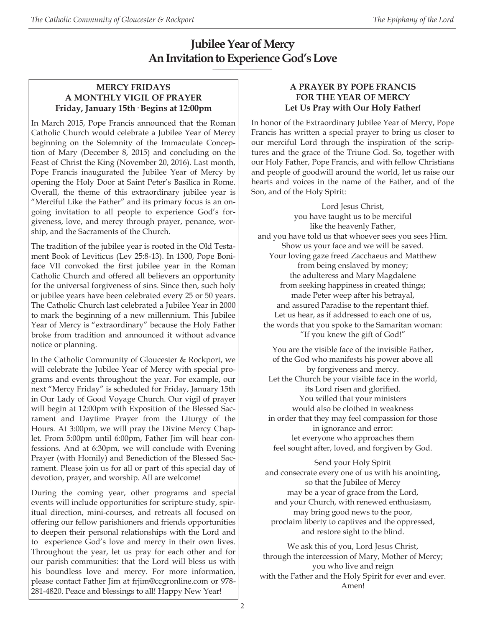# **Jubilee Year of Mercy An Invitation to Experience God's Love**

**\_\_\_\_\_\_\_\_\_\_\_\_\_\_\_\_\_\_\_\_\_\_\_\_\_\_\_\_\_\_**

# **MERCY FRIDAYS A MONTHLY VIGIL OF PRAYER Friday, January 15th· Begins at 12:00pm**

In March 2015, Pope Francis announced that the Roman Catholic Church would celebrate a Jubilee Year of Mercy beginning on the Solemnity of the Immaculate Conception of Mary (December 8, 2015) and concluding on the Feast of Christ the King (November 20, 2016). Last month, Pope Francis inaugurated the Jubilee Year of Mercy by opening the Holy Door at Saint Peter's Basilica in Rome. Overall, the theme of this extraordinary jubilee year is "Merciful Like the Father" and its primary focus is an ongoing invitation to all people to experience God's forgiveness, love, and mercy through prayer, penance, worship, and the Sacraments of the Church.

The tradition of the jubilee year is rooted in the Old Testament Book of Leviticus (Lev 25:8-13). In 1300, Pope Boniface VII convoked the first jubilee year in the Roman Catholic Church and offered all believers an opportunity for the universal forgiveness of sins. Since then, such holy or jubilee years have been celebrated every 25 or 50 years. The Catholic Church last celebrated a Jubilee Year in 2000 to mark the beginning of a new millennium. This Jubilee Year of Mercy is "extraordinary" because the Holy Father broke from tradition and announced it without advance notice or planning.

In the Catholic Community of Gloucester & Rockport, we will celebrate the Jubilee Year of Mercy with special programs and events throughout the year. For example, our next "Mercy Friday" is scheduled for Friday, January 15th in Our Lady of Good Voyage Church. Our vigil of prayer will begin at 12:00pm with Exposition of the Blessed Sacrament and Daytime Prayer from the Liturgy of the Hours. At 3:00pm, we will pray the Divine Mercy Chaplet. From 5:00pm until 6:00pm, Father Jim will hear confessions. And at 6:30pm, we will conclude with Evening Prayer (with Homily) and Benediction of the Blessed Sacrament. Please join us for all or part of this special day of devotion, prayer, and worship. All are welcome!

During the coming year, other programs and special events will include opportunities for scripture study, spiritual direction, mini-courses, and retreats all focused on offering our fellow parishioners and friends opportunities to deepen their personal relationships with the Lord and to experience God's love and mercy in their own lives. Throughout the year, let us pray for each other and for our parish communities: that the Lord will bless us with his boundless love and mercy. For more information, please contact Father Jim at frjim@ccgronline.com or 978- 281-4820. Peace and blessings to all! Happy New Year!

# **A PRAYER BY POPE FRANCIS FOR THE YEAR OF MERCY Let Us Pray with Our Holy Father!**

In honor of the Extraordinary Jubilee Year of Mercy, Pope Francis has written a special prayer to bring us closer to our merciful Lord through the inspiration of the scriptures and the grace of the Triune God. So, together with our Holy Father, Pope Francis, and with fellow Christians and people of goodwill around the world, let us raise our hearts and voices in the name of the Father, and of the Son, and of the Holy Spirit:

Lord Jesus Christ, you have taught us to be merciful like the heavenly Father, and you have told us that whoever sees you sees Him. Show us your face and we will be saved. Your loving gaze freed Zacchaeus and Matthew from being enslaved by money; the adulteress and Mary Magdalene from seeking happiness in created things; made Peter weep after his betrayal, and assured Paradise to the repentant thief. Let us hear, as if addressed to each one of us, the words that you spoke to the Samaritan woman: "If you knew the gift of God!"

You are the visible face of the invisible Father, of the God who manifests his power above all by forgiveness and mercy. Let the Church be your visible face in the world, its Lord risen and glorified. You willed that your ministers would also be clothed in weakness in order that they may feel compassion for those in ignorance and error: let everyone who approaches them feel sought after, loved, and forgiven by God.

Send your Holy Spirit and consecrate every one of us with his anointing, so that the Jubilee of Mercy may be a year of grace from the Lord, and your Church, with renewed enthusiasm, may bring good news to the poor, proclaim liberty to captives and the oppressed, and restore sight to the blind.

We ask this of you, Lord Jesus Christ, through the intercession of Mary, Mother of Mercy; you who live and reign with the Father and the Holy Spirit for ever and ever. Amen!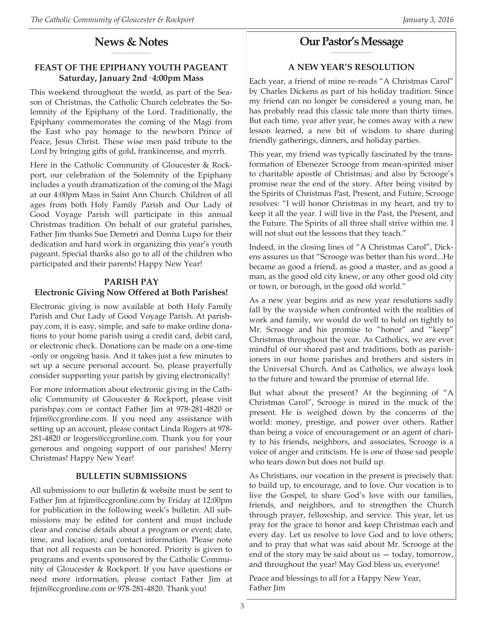#### **News & Notes \_\_\_\_\_\_\_\_\_\_\_\_\_\_\_\_\_\_\_\_**

# **FEAST OF THE EPIPHANY YOUTH PAGEANT Saturday, January 2nd· 4:00pm Mass**

This weekend throughout the world, as part of the Season of Christmas, the Catholic Church celebrates the Solemnity of the Epiphany of the Lord. Traditionally, the Epiphany commemorates the coming of the Magi from the East who pay homage to the newborn Prince of Peace, Jesus Christ. These wise men paid tribute to the Lord by bringing gifts of gold, frankincense, and myrrh.

Here in the Catholic Community of Gloucester & Rockport, our celebration of the Solemnity of the Epiphany includes a youth dramatization of the coming of the Magi at our 4:00pm Mass in Saint Ann Church. Children of all ages from both Holy Family Parish and Our Lady of Good Voyage Parish will participate in this annual Christmas tradition. On behalf of our grateful parishes, Father Jim thanks Sue Demetri and Donna Lupo for their dedication and hard work in organizing this year's youth pageant. Special thanks also go to all of the children who participated and their parents! Happy New Year!

#### **PARISH PAY**

#### **Electronic Giving Now Offered at Both Parishes!**

Electronic giving is now available at both Holy Family Parish and Our Lady of Good Voyage Parish. At parishpay.com, it is easy, simple, and safe to make online donations to your home parish using a credit card, debit card, or electronic check. Donations can be made on a one-time -only or ongoing basis. And it takes just a few minutes to set up a secure personal account. So, please prayerfully consider supporting your parish by giving electronically!

For more information about electronic giving in the Catholic Community of Gloucester & Rockport, please visit parishpay.com or contact Father Jim at 978-281-4820 or frjim@ccgronline.com. If you need any assistance with setting up an account, please contact Linda Rogers at 978- 281-4820 or lrogers@ccgronline.com. Thank you for your generous and ongoing support of our parishes! Merry Christmas! Happy New Year!

#### **BULLETIN SUBMISSIONS**

All submissions to our bulletin & website must be sent to Father Jim at frjim@ccgronline.com by Friday at 12:00pm for publication in the following week's bulletin. All submissions may be edited for content and must include clear and concise details about a program or event; date, time, and location; and contact information. Please note that not all requests can be honored. Priority is given to programs and events sponsored by the Catholic Community of Gloucester & Rockport. If you have questions or need more information, please contact Father Jim at frjim@ccgronline.com or 978-281-4820. Thank you!

#### **Our Pastor's Message \_\_\_\_\_\_\_\_\_\_\_\_\_\_\_\_\_\_\_\_\_**

# **A NEW YEAR'S RESOLUTION**

Each year, a friend of mine re-reads "A Christmas Carol" by Charles Dickens as part of his holiday tradition. Since my friend can no longer be considered a young man, he has probably read this classic tale more than thirty times. But each time, year after year, he comes away with a new lesson learned, a new bit of wisdom to share during friendly gatherings, dinners, and holiday parties.

This year, my friend was typically fascinated by the transformation of Ebenezer Scrooge from mean-spirited miser to charitable apostle of Christmas; and also by Scrooge's promise near the end of the story. After being visited by the Spirits of Christmas Past, Present, and Future, Scrooge resolves: "I will honor Christmas in my heart, and try to keep it all the year. I will live in the Past, the Present, and the Future. The Spirits of all three shall strive within me. I will not shut out the lessons that they teach."

Indeed, in the closing lines of "A Christmas Carol", Dickens assures us that "Scrooge was better than his word...He became as good a friend, as good a master, and as good a man, as the good old city knew, or any other good old city or town, or borough, in the good old world."

As a new year begins and as new year resolutions sadly fall by the wayside when confronted with the realities of work and family, we would do well to hold on tightly to Mr. Scrooge and his promise to "honor" and "keep" Christmas throughout the year. As Catholics, we are ever mindful of our shared past and traditions, both as parishioners in our home parishes and brothers and sisters in the Universal Church. And as Catholics, we always look to the future and toward the promise of eternal life.

But what about the present? At the beginning of "A Christmas Carol", Scrooge is mired in the muck of the present. He is weighed down by the concerns of the world: money, prestige, and power over others. Rather than being a voice of encouragement or an agent of charity to his friends, neighbors, and associates, Scrooge is a voice of anger and criticism. He is one of those sad people who tears down but does not build up.

As Christians, our vocation in the present is precisely that: to build up, to encourage, and to love. Our vocation is to live the Gospel, to share God's love with our families, friends, and neighbors, and to strengthen the Church through prayer, fellowship, and service. This year, let us pray for the grace to honor and keep Christmas each and every day. Let us resolve to love God and to love others; and to pray that what was said about Mr. Scrooge at the end of the story may be said about us — today, tomorrow, and throughout the year! May God bless us, everyone!

Peace and blessings to all for a Happy New Year, Father Jim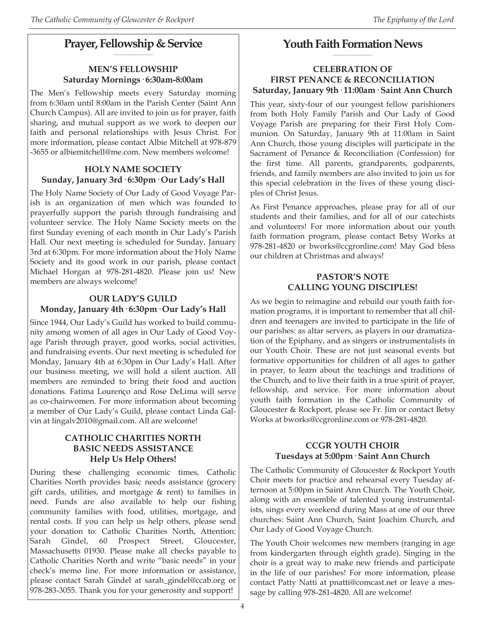#### **Prayer, Fellowship & Service \_\_\_\_\_\_\_\_\_\_\_\_\_\_\_\_\_\_\_\_**

### **MEN'S FELLOWSHIP Saturday Mornings· 6:30am-8:00am**

The Men's Fellowship meets every Saturday morning from 6:30am until 8:00am in the Parish Center (Saint Ann Church Campus). All are invited to join us for prayer, faith sharing, and mutual support as we work to deepen our faith and personal relationships with Jesus Christ. For more information, please contact Albie Mitchell at 978-879 -3655 or albiemitchell@me.com. New members welcome!

#### **HOLY NAME SOCIETY Sunday, January 3rd· 6:30pm· Our Lady's Hall**

The Holy Name Society of Our Lady of Good Voyage Parish is an organization of men which was founded to prayerfully support the parish through fundraising and volunteer service. The Holy Name Society meets on the first Sunday evening of each month in Our Lady's Parish Hall. Our next meeting is scheduled for Sunday, January 3rd at 6:30pm. For more information about the Holy Name Society and its good work in our parish, please contact Michael Horgan at 978-281-4820. Please join us! New members are always welcome!

# **OUR LADY'S GUILD**

# **Monday, January 4th· 6:30pm· Our Lady's Hall**

Since 1944, Our Lady's Guild has worked to build community among women of all ages in Our Lady of Good Voyage Parish through prayer, good works, social activities, and fundraising events. Our next meeting is scheduled for Monday, January 4th at 6:30pm in Our Lady's Hall. After our business meeting, we will hold a silent auction. All members are reminded to bring their food and auction donations. Fatima Lourenço and Rose DeLima will serve as co-chairwomen. For more information about becoming a member of Our Lady's Guild, please contact Linda Galvin at lingalv2010@gmail.com. All are welcome!

#### **CATHOLIC CHARITIES NORTH BASIC NEEDS ASSISTANCE Help Us Help Others!**

During these challenging economic times, Catholic Charities North provides basic needs assistance (grocery gift cards, utilities, and mortgage & rent) to families in need. Funds are also available to help our fishing community families with food, utilities, mortgage, and rental costs. If you can help us help others, please send your donation to: Catholic Charities North, Attention: Sarah Gindel, 60 Prospect Street, Gloucester, Massachusetts 01930. Please make all checks payable to Catholic Charities North and write "basic needs" in your check's memo line. For more information or assistance, please contact Sarah Gindel at sarah\_gindel@ccab.org or 978-283-3055. Thank you for your generosity and support!

#### **Youth Faith Formation News \_\_\_\_\_\_\_\_\_\_\_\_\_\_\_\_\_\_\_\_**

#### **CELEBRATION OF FIRST PENANCE & RECONCILIATION Saturday, January 9th· 11:00am· Saint Ann Church**

This year, sixty-four of our youngest fellow parishioners from both Holy Family Parish and Our Lady of Good Voyage Parish are preparing for their First Holy Communion. On Saturday, January 9th at 11:00am in Saint Ann Church, those young disciples will participate in the Sacrament of Penance & Reconciliation (Confession) for the first time. All parents, grandparents, godparents, friends, and family members are also invited to join us for this special celebration in the lives of these young disciples of Christ Jesus.

As First Penance approaches, please pray for all of our students and their families, and for all of our catechists and volunteers! For more information about our youth faith formation program, please contact Betsy Works at 978-281-4820 or bworks@ccgronline.com! May God bless our children at Christmas and always!

#### **PASTOR'S NOTE CALLING YOUNG DISCIPLES!**

As we begin to reimagine and rebuild our youth faith formation programs, it is important to remember that all children and teenagers are invited to participate in the life of our parishes: as altar servers, as players in our dramatization of the Epiphany, and as singers or instrumentalists in our Youth Choir. These are not just seasonal events but formative opportunities for children of all ages to gather in prayer, to learn about the teachings and traditions of the Church, and to live their faith in a true spirit of prayer, fellowship, and service. For more information about youth faith formation in the Catholic Community of Gloucester & Rockport, please see Fr. Jim or contact Betsy Works at bworks@ccgronline.com or 978-281-4820.

# **CCGR YOUTH CHOIR Tuesdays at 5:00pm· Saint Ann Church**

The Catholic Community of Gloucester & Rockport Youth Choir meets for practice and rehearsal every Tuesday afternoon at 5:00pm in Saint Ann Church. The Youth Choir, along with an ensemble of talented young instrumentalists, sings every weekend during Mass at one of our three churches: Saint Ann Church, Saint Joachim Church, and Our Lady of Good Voyage Church.

The Youth Choir welcomes new members (ranging in age from kindergarten through eighth grade). Singing in the choir is a great way to make new friends and participate in the life of our parishes! For more information, please contact Patty Natti at pnatti@comcast.net or leave a message by calling 978-281-4820. All are welcome!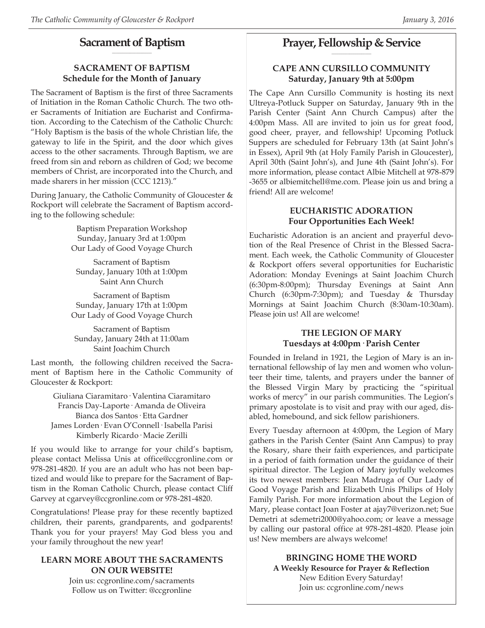#### **Sacrament of Baptism \_\_\_\_\_\_\_\_\_\_\_\_\_\_\_\_\_\_\_\_**

# **SACRAMENT OF BAPTISM Schedule for the Month of January**

The Sacrament of Baptism is the first of three Sacraments of Initiation in the Roman Catholic Church. The two other Sacraments of Initiation are Eucharist and Confirmation. According to the Catechism of the Catholic Church: "Holy Baptism is the basis of the whole Christian life, the gateway to life in the Spirit, and the door which gives access to the other sacraments. Through Baptism, we are freed from sin and reborn as children of God; we become members of Christ, are incorporated into the Church, and made sharers in her mission (CCC 1213)."

During January, the Catholic Community of Gloucester & Rockport will celebrate the Sacrament of Baptism according to the following schedule:

> Baptism Preparation Workshop Sunday, January 3rd at 1:00pm Our Lady of Good Voyage Church

Sacrament of Baptism Sunday, January 10th at 1:00pm Saint Ann Church

Sacrament of Baptism Sunday, January 17th at 1:00pm Our Lady of Good Voyage Church

Sacrament of Baptism Sunday, January 24th at 11:00am Saint Joachim Church

Last month, the following children received the Sacrament of Baptism here in the Catholic Community of Gloucester & Rockport:

Giuliana Ciaramitaro· Valentina Ciaramitaro Francis Day-Laporte· Amanda de Oliveira Bianca dos Santos· Etta Gardner James Lorden· Evan O'Connell· Isabella Parisi Kimberly Ricardo· Macie Zerilli

If you would like to arrange for your child's baptism, please contact Melissa Unis at office@ccgronline.com or 978-281-4820. If you are an adult who has not been baptized and would like to prepare for the Sacrament of Baptism in the Roman Catholic Church, please contact Cliff Garvey at cgarvey@ccgronline.com or 978-281-4820.

Congratulations! Please pray for these recently baptized children, their parents, grandparents, and godparents! Thank you for your prayers! May God bless you and your family throughout the new year!

#### **LEARN MORE ABOUT THE SACRAMENTS ON OUR WEBSITE!**

Join us: ccgronline.com/sacraments Follow us on Twitter: @ccgronline

#### **Prayer, Fellowship & Service \_\_\_\_\_\_\_\_\_\_\_\_\_\_\_\_\_\_\_\_**

# **CAPE ANN CURSILLO COMMUNITY Saturday, January 9th at 5:00pm**

The Cape Ann Cursillo Community is hosting its next Ultreya-Potluck Supper on Saturday, January 9th in the Parish Center (Saint Ann Church Campus) after the 4:00pm Mass. All are invited to join us for great food, good cheer, prayer, and fellowship! Upcoming Potluck Suppers are scheduled for February 13th (at Saint John's in Essex), April 9th (at Holy Family Parish in Gloucester), April 30th (Saint John's), and June 4th (Saint John's). For more information, please contact Albie Mitchell at 978-879 -3655 or albiemitchell@me.com. Please join us and bring a friend! All are welcome!

#### **EUCHARISTIC ADORATION Four Opportunities Each Week!**

Eucharistic Adoration is an ancient and prayerful devotion of the Real Presence of Christ in the Blessed Sacrament. Each week, the Catholic Community of Gloucester & Rockport offers several opportunities for Eucharistic Adoration: Monday Evenings at Saint Joachim Church (6:30pm-8:00pm); Thursday Evenings at Saint Ann Church (6:30pm-7:30pm); and Tuesday & Thursday Mornings at Saint Joachim Church (8:30am-10:30am). Please join us! All are welcome!

#### **THE LEGION OF MARY Tuesdays at 4:00pm· Parish Center**

Founded in Ireland in 1921, the Legion of Mary is an international fellowship of lay men and women who volunteer their time, talents, and prayers under the banner of the Blessed Virgin Mary by practicing the "spiritual works of mercy" in our parish communities. The Legion's primary apostolate is to visit and pray with our aged, disabled, homebound, and sick fellow parishioners.

Every Tuesday afternoon at 4:00pm, the Legion of Mary gathers in the Parish Center (Saint Ann Campus) to pray the Rosary, share their faith experiences, and participate in a period of faith formation under the guidance of their spiritual director. The Legion of Mary joyfully welcomes its two newest members: Jean Madruga of Our Lady of Good Voyage Parish and Elizabeth Unis Philips of Holy Family Parish. For more information about the Legion of Mary, please contact Joan Foster at ajay7@verizon.net; Sue Demetri at sdemetri2000@yahoo.com; or leave a message by calling our pastoral office at 978-281-4820. Please join us! New members are always welcome!

> **BRINGING HOME THE WORD A Weekly Resource for Prayer & Reflection** New Edition Every Saturday! Join us: ccgronline.com/news